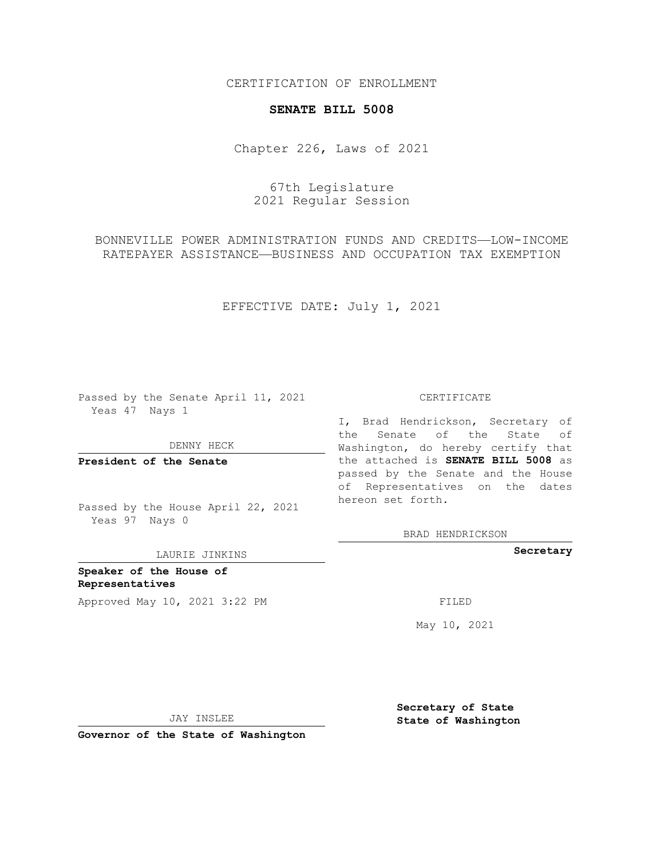CERTIFICATION OF ENROLLMENT

## **SENATE BILL 5008**

Chapter 226, Laws of 2021

67th Legislature 2021 Regular Session

BONNEVILLE POWER ADMINISTRATION FUNDS AND CREDITS—LOW-INCOME RATEPAYER ASSISTANCE—BUSINESS AND OCCUPATION TAX EXEMPTION

EFFECTIVE DATE: July 1, 2021

Passed by the Senate April 11, 2021 Yeas 47 Nays 1

DENNY HECK

**President of the Senate**

Passed by the House April 22, 2021 Yeas 97 Nays 0

LAURIE JINKINS

**Speaker of the House of Representatives** Approved May 10, 2021 3:22 PM FILED

CERTIFICATE

I, Brad Hendrickson, Secretary of the Senate of the State of Washington, do hereby certify that the attached is **SENATE BILL 5008** as passed by the Senate and the House of Representatives on the dates hereon set forth.

BRAD HENDRICKSON

**Secretary**

May 10, 2021

JAY INSLEE

**Governor of the State of Washington**

**Secretary of State State of Washington**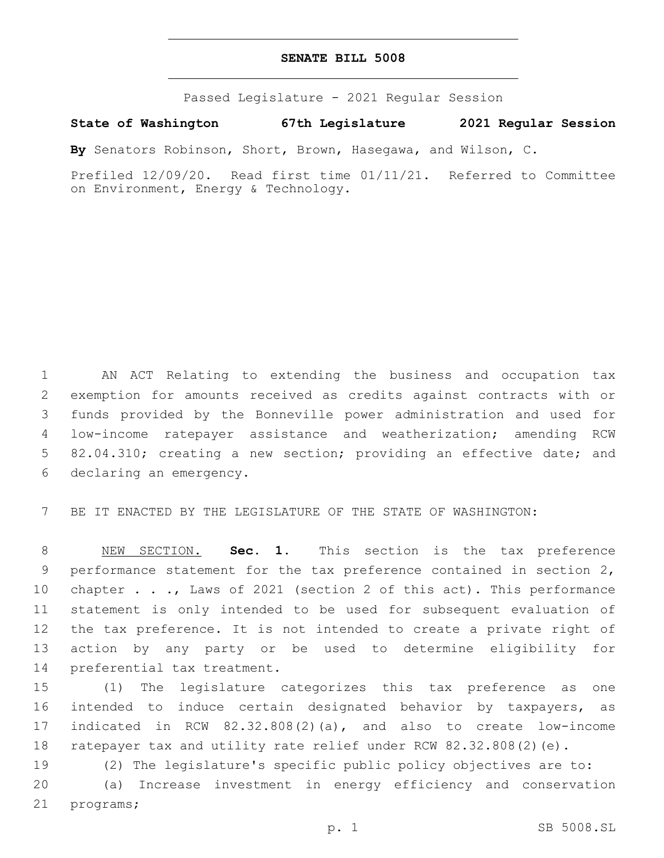## **SENATE BILL 5008**

Passed Legislature - 2021 Regular Session

## **State of Washington 67th Legislature 2021 Regular Session**

**By** Senators Robinson, Short, Brown, Hasegawa, and Wilson, C.

Prefiled 12/09/20. Read first time 01/11/21. Referred to Committee on Environment, Energy & Technology.

 AN ACT Relating to extending the business and occupation tax exemption for amounts received as credits against contracts with or funds provided by the Bonneville power administration and used for low-income ratepayer assistance and weatherization; amending RCW 82.04.310; creating a new section; providing an effective date; and 6 declaring an emergency.

BE IT ENACTED BY THE LEGISLATURE OF THE STATE OF WASHINGTON:

 NEW SECTION. **Sec. 1.** This section is the tax preference performance statement for the tax preference contained in section 2, chapter . . ., Laws of 2021 (section 2 of this act). This performance statement is only intended to be used for subsequent evaluation of the tax preference. It is not intended to create a private right of action by any party or be used to determine eligibility for preferential tax treatment.

 (1) The legislature categorizes this tax preference as one intended to induce certain designated behavior by taxpayers, as indicated in RCW 82.32.808(2)(a), and also to create low-income ratepayer tax and utility rate relief under RCW 82.32.808(2)(e).

 (2) The legislature's specific public policy objectives are to: (a) Increase investment in energy efficiency and conservation 21 programs;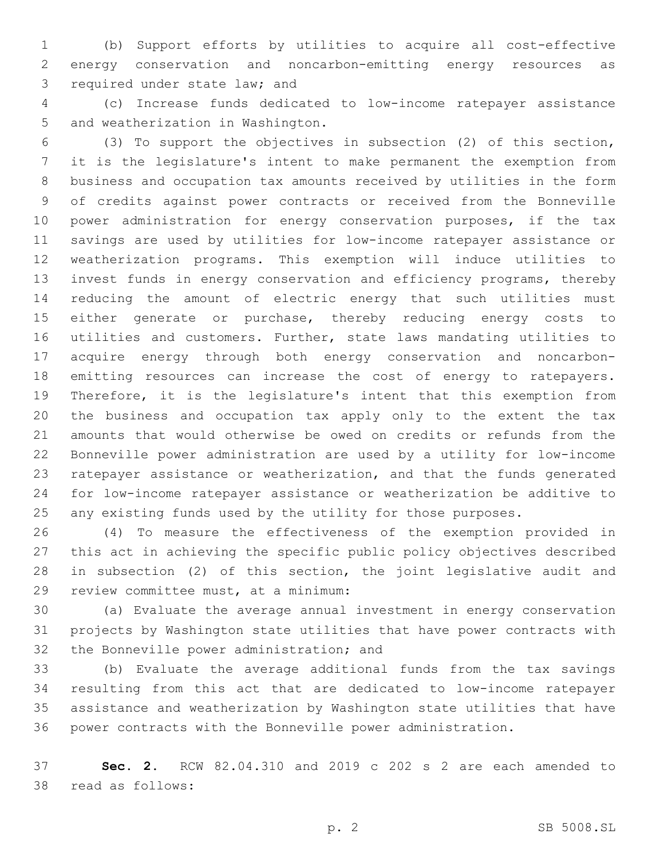(b) Support efforts by utilities to acquire all cost-effective energy conservation and noncarbon-emitting energy resources as 3 required under state law; and

 (c) Increase funds dedicated to low-income ratepayer assistance 5 and weatherization in Washington.

 (3) To support the objectives in subsection (2) of this section, it is the legislature's intent to make permanent the exemption from business and occupation tax amounts received by utilities in the form of credits against power contracts or received from the Bonneville 10 power administration for energy conservation purposes, if the tax savings are used by utilities for low-income ratepayer assistance or weatherization programs. This exemption will induce utilities to invest funds in energy conservation and efficiency programs, thereby reducing the amount of electric energy that such utilities must 15 either generate or purchase, thereby reducing energy costs to utilities and customers. Further, state laws mandating utilities to acquire energy through both energy conservation and noncarbon- emitting resources can increase the cost of energy to ratepayers. Therefore, it is the legislature's intent that this exemption from the business and occupation tax apply only to the extent the tax amounts that would otherwise be owed on credits or refunds from the Bonneville power administration are used by a utility for low-income ratepayer assistance or weatherization, and that the funds generated for low-income ratepayer assistance or weatherization be additive to any existing funds used by the utility for those purposes.

 (4) To measure the effectiveness of the exemption provided in this act in achieving the specific public policy objectives described in subsection (2) of this section, the joint legislative audit and 29 review committee must, at a minimum:

 (a) Evaluate the average annual investment in energy conservation projects by Washington state utilities that have power contracts with 32 the Bonneville power administration; and

 (b) Evaluate the average additional funds from the tax savings resulting from this act that are dedicated to low-income ratepayer assistance and weatherization by Washington state utilities that have power contracts with the Bonneville power administration.

 **Sec. 2.** RCW 82.04.310 and 2019 c 202 s 2 are each amended to 38 read as follows: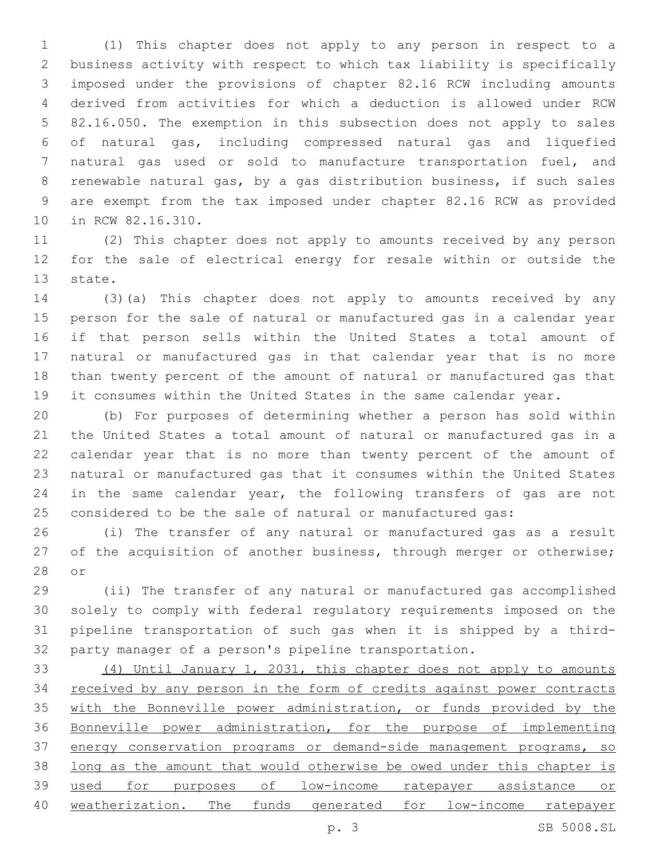(1) This chapter does not apply to any person in respect to a business activity with respect to which tax liability is specifically imposed under the provisions of chapter 82.16 RCW including amounts derived from activities for which a deduction is allowed under RCW 82.16.050. The exemption in this subsection does not apply to sales of natural gas, including compressed natural gas and liquefied natural gas used or sold to manufacture transportation fuel, and renewable natural gas, by a gas distribution business, if such sales are exempt from the tax imposed under chapter 82.16 RCW as provided 10 in RCW 82.16.310.

 (2) This chapter does not apply to amounts received by any person for the sale of electrical energy for resale within or outside the 13 state.

 (3)(a) This chapter does not apply to amounts received by any person for the sale of natural or manufactured gas in a calendar year if that person sells within the United States a total amount of natural or manufactured gas in that calendar year that is no more than twenty percent of the amount of natural or manufactured gas that it consumes within the United States in the same calendar year.

 (b) For purposes of determining whether a person has sold within the United States a total amount of natural or manufactured gas in a calendar year that is no more than twenty percent of the amount of natural or manufactured gas that it consumes within the United States 24 in the same calendar year, the following transfers of gas are not considered to be the sale of natural or manufactured gas:

 (i) The transfer of any natural or manufactured gas as a result 27 of the acquisition of another business, through merger or otherwise; 28 or

 (ii) The transfer of any natural or manufactured gas accomplished solely to comply with federal regulatory requirements imposed on the pipeline transportation of such gas when it is shipped by a third-party manager of a person's pipeline transportation.

 (4) Until January 1, 2031, this chapter does not apply to amounts 34 received by any person in the form of credits against power contracts 35 with the Bonneville power administration, or funds provided by the Bonneville power administration, for the purpose of implementing energy conservation programs or demand-side management programs, so long as the amount that would otherwise be owed under this chapter is used for purposes of low-income ratepayer assistance or weatherization. The funds generated for low-income ratepayer